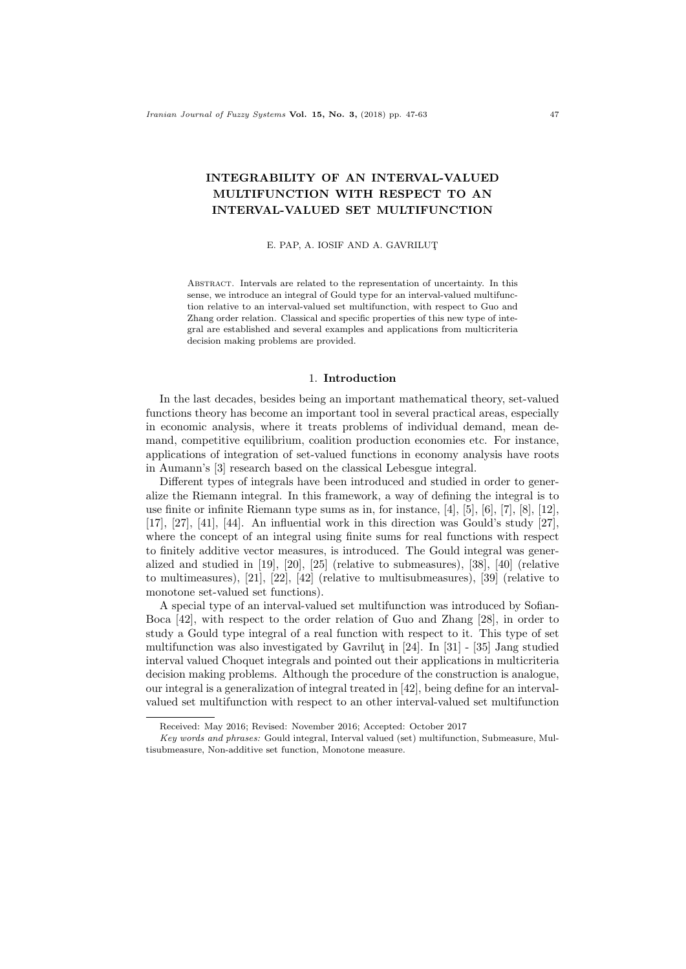# INTEGRABILITY OF AN INTERVAL-VALUED MULTIFUNCTION WITH RESPECT TO AN INTERVAL-VALUED SET MULTIFUNCTION

E. PAP, A. IOSIF AND A. GAVRILUT¸

Abstract. Intervals are related to the representation of uncertainty. In this sense, we introduce an integral of Gould type for an interval-valued multifunction relative to an interval-valued set multifunction, with respect to Guo and Zhang order relation. Classical and specific properties of this new type of integral are established and several examples and applications from multicriteria decision making problems are provided.

### 1. Introduction

In the last decades, besides being an important mathematical theory, set-valued functions theory has become an important tool in several practical areas, especially in economic analysis, where it treats problems of individual demand, mean demand, competitive equilibrium, coalition production economies etc. For instance, applications of integration of set-valued functions in economy analysis have roots in Aumann's [3] research based on the classical Lebesgue integral.

Different types of integrals have been introduced and studied in order to generalize the Riemann integral. In this framework, a way of defining the integral is to use finite or infinite Riemann type sums as in, for instance, [4], [5], [6], [7], [8], [12], [17], [27], [41], [44]. An influential work in this direction was Gould's study [27], where the concept of an integral using finite sums for real functions with respect to finitely additive vector measures, is introduced. The Gould integral was generalized and studied in [19], [20], [25] (relative to submeasures), [38], [40] (relative to multimeasures), [21], [22], [42] (relative to multisubmeasures), [39] (relative to monotone set-valued set functions).

A special type of an interval-valued set multifunction was introduced by Sofian-Boca [42], with respect to the order relation of Guo and Zhang [28], in order to study a Gould type integral of a real function with respect to it. This type of set multifunction was also investigated by Gavrilut in  $[24]$ . In  $[31]$  -  $[35]$  Jang studied interval valued Choquet integrals and pointed out their applications in multicriteria decision making problems. Although the procedure of the construction is analogue, our integral is a generalization of integral treated in [42], being define for an intervalvalued set multifunction with respect to an other interval-valued set multifunction

Received: May 2016; Revised: November 2016; Accepted: October 2017

Key words and phrases: Gould integral, Interval valued (set) multifunction, Submeasure, Multisubmeasure, Non-additive set function, Monotone measure.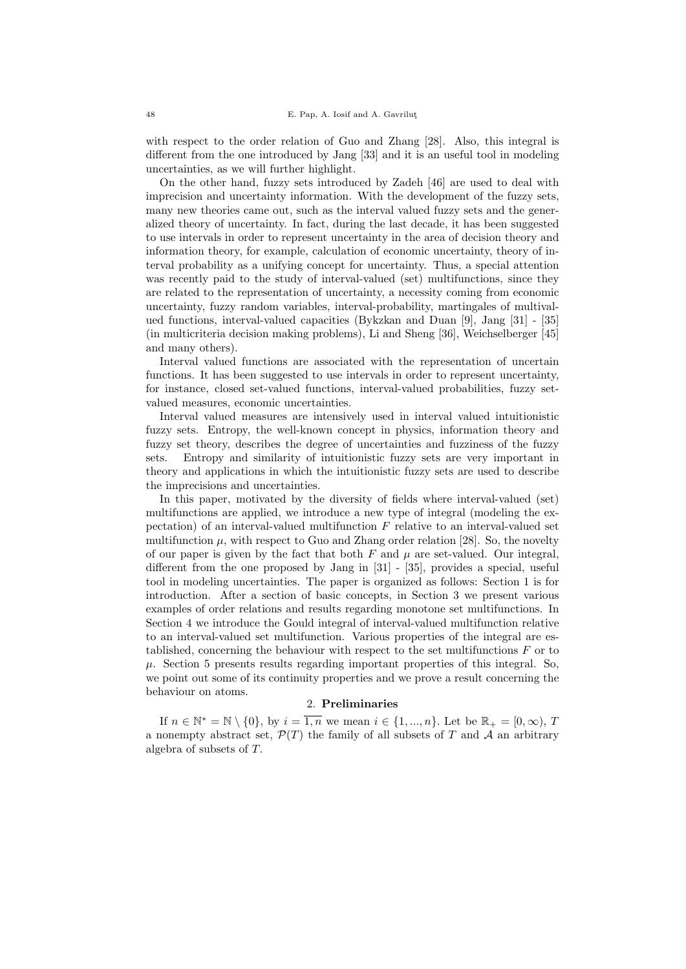with respect to the order relation of Guo and Zhang [28]. Also, this integral is different from the one introduced by Jang [33] and it is an useful tool in modeling uncertainties, as we will further highlight.

On the other hand, fuzzy sets introduced by Zadeh [46] are used to deal with imprecision and uncertainty information. With the development of the fuzzy sets, many new theories came out, such as the interval valued fuzzy sets and the generalized theory of uncertainty. In fact, during the last decade, it has been suggested to use intervals in order to represent uncertainty in the area of decision theory and information theory, for example, calculation of economic uncertainty, theory of interval probability as a unifying concept for uncertainty. Thus, a special attention was recently paid to the study of interval-valued (set) multifunctions, since they are related to the representation of uncertainty, a necessity coming from economic uncertainty, fuzzy random variables, interval-probability, martingales of multivalued functions, interval-valued capacities (Bykzkan and Duan [9], Jang [31] - [35] (in multicriteria decision making problems), Li and Sheng [36], Weichselberger [45] and many others).

Interval valued functions are associated with the representation of uncertain functions. It has been suggested to use intervals in order to represent uncertainty, for instance, closed set-valued functions, interval-valued probabilities, fuzzy setvalued measures, economic uncertainties.

Interval valued measures are intensively used in interval valued intuitionistic fuzzy sets. Entropy, the well-known concept in physics, information theory and fuzzy set theory, describes the degree of uncertainties and fuzziness of the fuzzy sets. Entropy and similarity of intuitionistic fuzzy sets are very important in theory and applications in which the intuitionistic fuzzy sets are used to describe the imprecisions and uncertainties.

In this paper, motivated by the diversity of fields where interval-valued (set) multifunctions are applied, we introduce a new type of integral (modeling the expectation) of an interval-valued multifunction  $F$  relative to an interval-valued set multifunction  $\mu$ , with respect to Guo and Zhang order relation [28]. So, the novelty of our paper is given by the fact that both  $F$  and  $\mu$  are set-valued. Our integral, different from the one proposed by Jang in [31] - [35], provides a special, useful tool in modeling uncertainties. The paper is organized as follows: Section 1 is for introduction. After a section of basic concepts, in Section 3 we present various examples of order relations and results regarding monotone set multifunctions. In Section 4 we introduce the Gould integral of interval-valued multifunction relative to an interval-valued set multifunction. Various properties of the integral are established, concerning the behaviour with respect to the set multifunctions  $F$  or to  $\mu$ . Section 5 presents results regarding important properties of this integral. So, we point out some of its continuity properties and we prove a result concerning the behaviour on atoms.

### 2. Preliminaries

If  $n \in \mathbb{N}^* = \mathbb{N} \setminus \{0\}$ , by  $i = \overline{1,n}$  we mean  $i \in \{1, ..., n\}$ . Let be  $\mathbb{R}_+ = [0, \infty)$ , T a nonempty abstract set,  $\mathcal{P}(T)$  the family of all subsets of T and A an arbitrary algebra of subsets of T.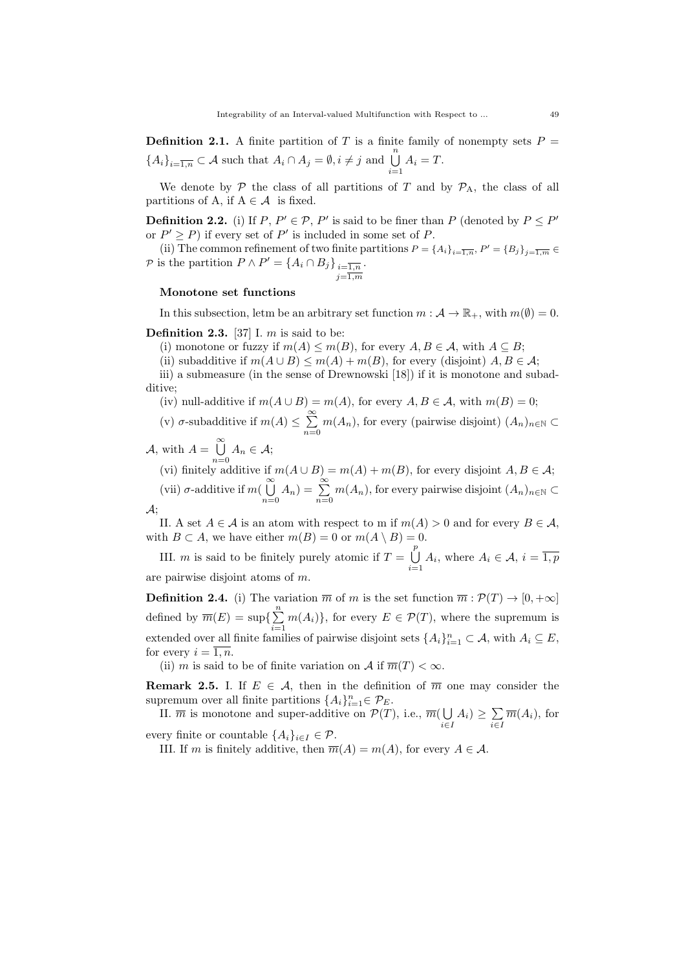**Definition 2.1.** A finite partition of T is a finite family of nonempty sets  $P =$  ${A_i}_{i=\overline{1,n}} \subset \mathcal{A}$  such that  $A_i \cap A_j = \emptyset, i \neq j$  and  $\bigcup_{i=1}^n A_i = T$ .

We denote by  $\mathcal P$  the class of all partitions of T and by  $\mathcal P_A$ , the class of all partitions of A, if  $A \in \mathcal{A}$  is fixed.

**Definition 2.2.** (i) If  $P, P' \in \mathcal{P}, P'$  is said to be finer than P (denoted by  $P \leq P'$ or  $P' \geq P$ ) if every set of P' is included in some set of P.

(ii) The common refinement of two finite partitions  $P = \{A_i\}_{i=\overline{1,n}}, P' = \{B_j\}_{j=\overline{1,m}} \in$ P is the partition  $P \wedge P' = \{A_i \cap B_j\}_{i=\overline{1,n}}$  $j=\overline{1,m}$ .

## Monotone set functions

In this subsection, letm be an arbitrary set function  $m : \mathcal{A} \to \mathbb{R}_+$ , with  $m(\emptyset) = 0$ .

**Definition 2.3.** [37] I. m is said to be:

(i) monotone or fuzzy if  $m(A) \le m(B)$ , for every  $A, B \in \mathcal{A}$ , with  $A \subseteq B$ ;

(ii) subadditive if  $m(A \cup B) \le m(A) + m(B)$ , for every (disjoint)  $A, B \in \mathcal{A}$ ;

iii) a submeasure (in the sense of Drewnowski [18]) if it is monotone and subadditive;

(iv) null-additive if  $m(A \cup B) = m(A)$ , for every  $A, B \in \mathcal{A}$ , with  $m(B) = 0$ ;

(v)  $\sigma$ -subadditive if  $m(A) \leq \sum_{n=1}^{\infty} m(A_n)$ , for every (pairwise disjoint)  $(A_n)_{n \in \mathbb{N}}$  $n=0$ 

- A, with  $A = \bigcup_{n=1}^{\infty} A_n$  $\bigcup_{n=0} A_n \in \mathcal{A};$ 
	- (vi) finitely additive if  $m(A \cup B) = m(A) + m(B)$ , for every disjoint  $A, B \in \mathcal{A}$ ;

(vii)  $\sigma$ -additive if  $m(\overline{\overset{\infty}{\bigcup}})$  $\bigcup_{n=0}^{\infty} A_n$ ) =  $\sum_{n=0}^{\infty} m(A_n)$ , for every pairwise disjoint  $(A_n)_{n \in \mathbb{N}}$   $\subset$  $\mathcal{A};$ 

II. A set  $A \in \mathcal{A}$  is an atom with respect to m if  $m(A) > 0$  and for every  $B \in \mathcal{A}$ , with  $B \subset A$ , we have either  $m(B) = 0$  or  $m(A \setminus B) = 0$ .

III. *m* is said to be finitely purely atomic if  $T = \bigcup_{n=1}^{p}$  $\bigcup_{i=1} A_i$ , where  $A_i \in \mathcal{A}, i = \overline{1, p}$ 

are pairwise disjoint atoms of m.

**Definition 2.4.** (i) The variation  $\overline{m}$  of m is the set function  $\overline{m} : \mathcal{P}(T) \to [0, +\infty]$ defined by  $\overline{m}(E) = \sup\{\sum_{n=1}^{\infty}$  $\sum_{i=1} m(A_i)$ , for every  $E \in \mathcal{P}(T)$ , where the supremum is extended over all finite families of pairwise disjoint sets  $\{A_i\}_{i=1}^n \subset A$ , with  $A_i \subseteq E$ , for every  $i = \overline{1, n}$ .

(ii) m is said to be of finite variation on A if  $\overline{m}(T) < \infty$ .

**Remark 2.5.** I. If  $E \in \mathcal{A}$ , then in the definition of  $\overline{m}$  one may consider the supremum over all finite partitions  $\{A_i\}_{i=1}^n \in \mathcal{P}_E$ .

II.  $\overline{m}$  is monotone and super-additive on  $\mathcal{P}(T)$ , i.e.,  $\overline{m}(\bigcup$  $\bigcup_{i\in I} A_i$ )  $\geq \sum_{i\in I}$  $\sum_{i\in I} \overline{m}(A_i)$ , for

every finite or countable  $\{A_i\}_{i\in I} \in \mathcal{P}$ .

III. If m is finitely additive, then  $\overline{m}(A) = m(A)$ , for every  $A \in \mathcal{A}$ .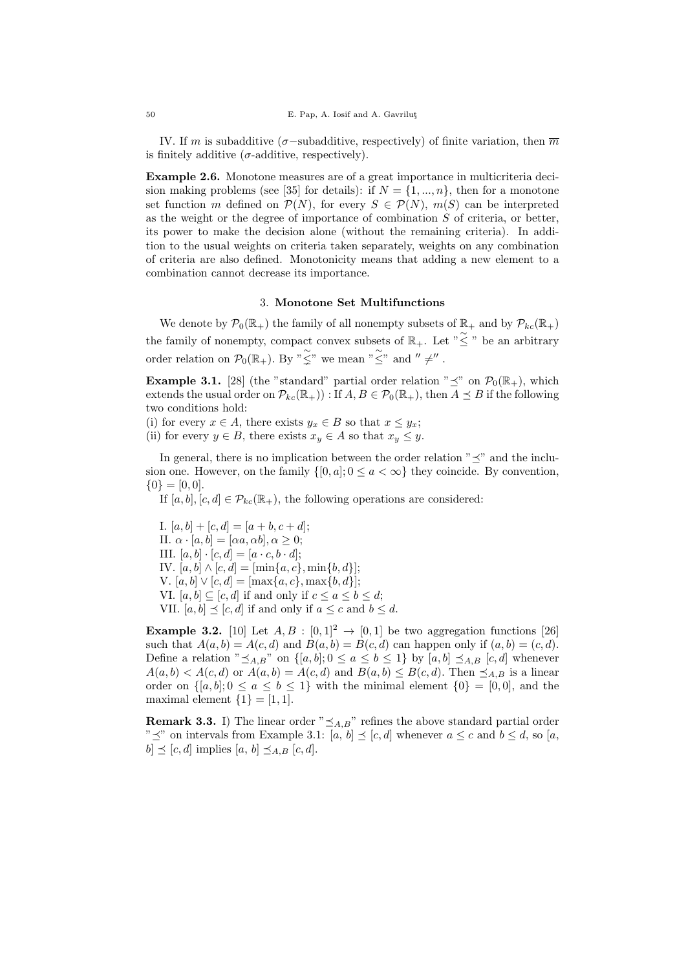IV. If m is subadditive ( $\sigma$ -subadditive, respectively) of finite variation, then  $\overline{m}$ is finitely additive ( $\sigma$ -additive, respectively).

Example 2.6. Monotone measures are of a great importance in multicriteria decision making problems (see [35] for details): if  $N = \{1, ..., n\}$ , then for a monotone set function m defined on  $\mathcal{P}(N)$ , for every  $S \in \mathcal{P}(N)$ ,  $m(S)$  can be interpreted as the weight or the degree of importance of combination  $S$  of criteria, or better, its power to make the decision alone (without the remaining criteria). In addition to the usual weights on criteria taken separately, weights on any combination of criteria are also defined. Monotonicity means that adding a new element to a combination cannot decrease its importance.

### 3. Monotone Set Multifunctions

We denote by  $\mathcal{P}_0(\mathbb{R}_+)$  the family of all nonempty subsets of  $\mathbb{R}_+$  and by  $\mathcal{P}_{kc}(\mathbb{R}_+)$ the family of nonempty, compact convex subsets of  $\mathbb{R}_+$ . Let " $\leq$ " be an arbitrary order relation on  $\mathcal{P}_0(\mathbb{R}_+)$ . By  $\tilde{\gamma} \leq \tilde{\gamma}$  we mean  $\tilde{\gamma} \leq \tilde{\gamma}$  and  $\gamma' \neq \gamma'$ .

**Example 3.1.** [28] (the "standard" partial order relation " $\preceq$ " on  $\mathcal{P}_0(\mathbb{R}_+)$ , which extends the usual order on  $\mathcal{P}_{kc}(\mathbb{R}_+)$ : If  $A, B \in \mathcal{P}_0(\mathbb{R}_+)$ , then  $A \preceq B$  if the following two conditions hold:

(i) for every  $x \in A$ , there exists  $y_x \in B$  so that  $x \leq y_x$ ;

(ii) for every  $y \in B$ , there exists  $x_y \in A$  so that  $x_y \leq y$ .

In general, there is no implication between the order relation " $\preceq$ " and the inclusion one. However, on the family  $\{[0, a]; 0 \le a < \infty\}$  they coincide. By convention,  ${0} = [0, 0].$ 

If  $[a, b], [c, d] \in \mathcal{P}_{kc}(\mathbb{R}_+),$  the following operations are considered:

I.  $[a, b] + [c, d] = [a + b, c + d];$ II.  $\alpha \cdot [a, b] = [\alpha a, \alpha b], \alpha > 0;$ III.  $[a, b] \cdot [c, d] = [a \cdot c, b \cdot d];$ IV.  $[a, b] \wedge [c, d] = [\min\{a, c\}, \min\{b, d\}];$ V.  $[a, b] \vee [c, d] = [\max\{a, c\}, \max\{b, d\}];$ VI.  $[a, b] \subseteq [c, d]$  if and only if  $c \le a \le b \le d$ ; VII.  $[a, b] \preceq [c, d]$  if and only if  $a \leq c$  and  $b \leq d$ .

**Example 3.2.** [10] Let  $A, B : [0, 1]^2 \rightarrow [0, 1]$  be two aggregation functions [26] such that  $A(a, b) = A(c, d)$  and  $B(a, b) = B(c, d)$  can happen only if  $(a, b) = (c, d)$ . Define a relation " $\leq_{A,B}$ " on  $\{[a, b]; 0 \leq a \leq b \leq 1\}$  by  $[a, b] \leq_{A,B} [c, d]$  whenever  $A(a, b) < A(c, d)$  or  $A(a, b) = A(c, d)$  and  $B(a, b) \leq B(c, d)$ . Then  $\preceq_{A,B}$  is a linear order on  $\{[a, b]; 0 \le a \le b \le 1\}$  with the minimal element  $\{0\} = [0, 0]$ , and the maximal element  $\{1\} = [1, 1].$ 

**Remark 3.3.** I) The linear order " $\leq_{A,B}$ " refines the above standard partial order " $\preceq$ " on intervals from Example 3.1:  $[a, b] \preceq [c, d]$  whenever  $a \leq c$  and  $b \leq d$ , so  $[a, b]$  $b \leq [c, d]$  implies  $[a, b] \preceq_{A,B} [c, d].$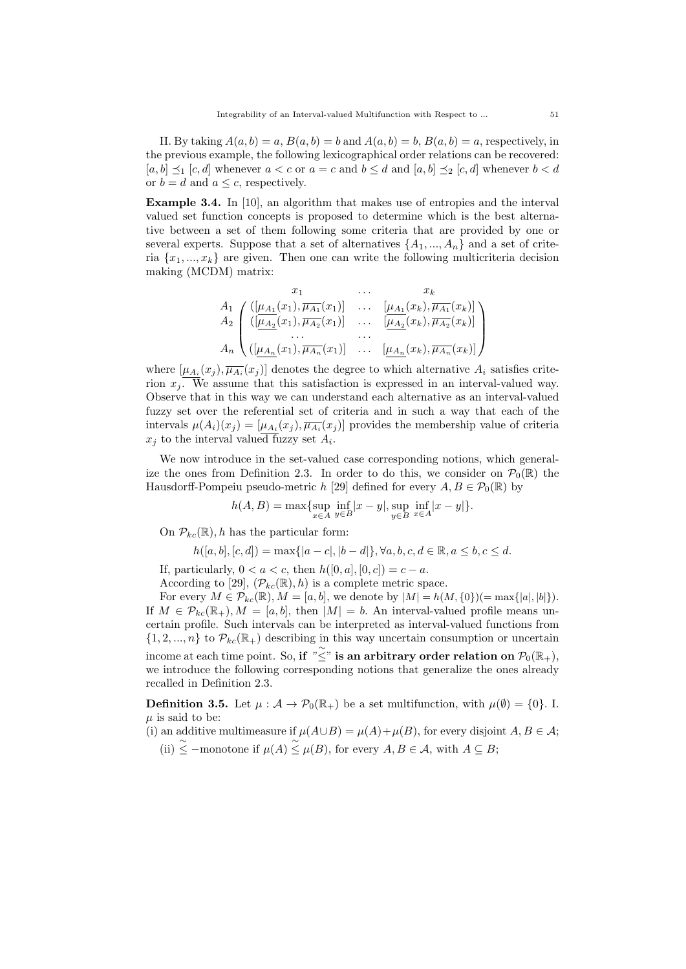II. By taking  $A(a, b) = a$ ,  $B(a, b) = b$  and  $A(a, b) = b$ ,  $B(a, b) = a$ , respectively, in the previous example, the following lexicographical order relations can be recovered:  $[a, b] \preceq_1 [c, d]$  whenever  $a < c$  or  $a = c$  and  $b \leq d$  and  $[a, b] \preceq_2 [c, d]$  whenever  $b < d$ or  $b = d$  and  $a \leq c$ , respectively.

Example 3.4. In [10], an algorithm that makes use of entropies and the interval valued set function concepts is proposed to determine which is the best alternative between a set of them following some criteria that are provided by one or several experts. Suppose that a set of alternatives  $\{A_1, ..., A_n\}$  and a set of criteria  $\{x_1, ..., x_k\}$  are given. Then one can write the following multicriteria decision making (MCDM) matrix:

$$
A_{1} \left( \frac{([\mu_{A_1}(x_1), \overline{\mu_{A_1}}(x_1)] \cdots [\mu_{A_1}(x_k), \overline{\mu_{A_1}}(x_k)]}{([\mu_{A_2}(x_1), \overline{\mu_{A_2}}(x_1)] \cdots [\mu_{A_2}(x_k), \overline{\mu_{A_2}}(x_k)]} \right)
$$
  
\n
$$
A_{n} \left( \frac{([\mu_{A_n}(x_1), \overline{\mu_{A_n}}(x_1)] \cdots [\mu_{A_n}(x_k), \overline{\mu_{A_n}}(x_k)]}{\cdots [\mu_{A_n}(x_k), \overline{\mu_{A_n}}(x_k)]} \right)
$$

where  $[\mu_{A_i}(x_j), \overline{\mu_{A_i}}(x_j)]$  denotes the degree to which alternative  $A_i$  satisfies criterion  $x_i$ . We assume that this satisfaction is expressed in an interval-valued way. Observe that in this way we can understand each alternative as an interval-valued fuzzy set over the referential set of criteria and in such a way that each of the intervals  $\mu(A_i)(x_j) = [\mu_{A_i}(x_j), \overline{\mu_{A_i}}(x_j)]$  provides the membership value of criteria  $x_j$  to the interval valued fuzzy set  $A_i$ .

We now introduce in the set-valued case corresponding notions, which generalize the ones from Definition 2.3. In order to do this, we consider on  $\mathcal{P}_0(\mathbb{R})$  the Hausdorff-Pompeiu pseudo-metric h [29] defined for every  $A, B \in \mathcal{P}_0(\mathbb{R})$  by

$$
h(A, B) = \max \{ \sup_{x \in A} \inf_{y \in B} |x - y|, \sup_{y \in B} \inf_{x \in A} |x - y| \}.
$$

On  $\mathcal{P}_{kc}(\mathbb{R})$ , h has the particular form:

$$
h([a, b], [c, d]) = \max\{|a - c|, |b - d|\}, \forall a, b, c, d \in \mathbb{R}, a \le b, c \le d.
$$

If, particularly,  $0 < a < c$ , then  $h([0, a], [0, c]) = c - a$ .

According to [29],  $(\mathcal{P}_{kc}(\mathbb{R}), h)$  is a complete metric space.

For every  $M \in \mathcal{P}_{kc}(\mathbb{R})$ ,  $M = [a, b]$ , we denote by  $|M| = h(M, \{0\}) (= \max\{|a|, |b|\}).$ If  $M \in \mathcal{P}_{kc}(\mathbb{R}_+), M = [a, b],$  then  $|M| = b$ . An interval-valued profile means uncertain profile. Such intervals can be interpreted as interval-valued functions from  $\{1, 2, ..., n\}$  to  $\mathcal{P}_{kc}(\mathbb{R}_+)$  describing in this way uncertain consumption or uncertain income at each time point. So, if  $\sum_{i=1}^{\infty}$  is an arbitrary order relation on  $\mathcal{P}_0(\mathbb{R}_+)$ , we introduce the following corresponding notions that generalize the ones already recalled in Definition 2.3.

**Definition 3.5.** Let  $\mu : \mathcal{A} \to \mathcal{P}_0(\mathbb{R}_+)$  be a set multifunction, with  $\mu(\emptyset) = \{0\}$ . I.  $\mu$  is said to be:

- (i) an additive multimeasure if  $\mu(A\cup B) = \mu(A) + \mu(B)$ , for every disjoint  $A, B \in \mathcal{A}$ ;
	- (ii)  $\leq$  –monotone if  $\mu(A) \leq \mu(B)$ , for every  $A, B \in \mathcal{A}$ , with  $A \subseteq B$ ;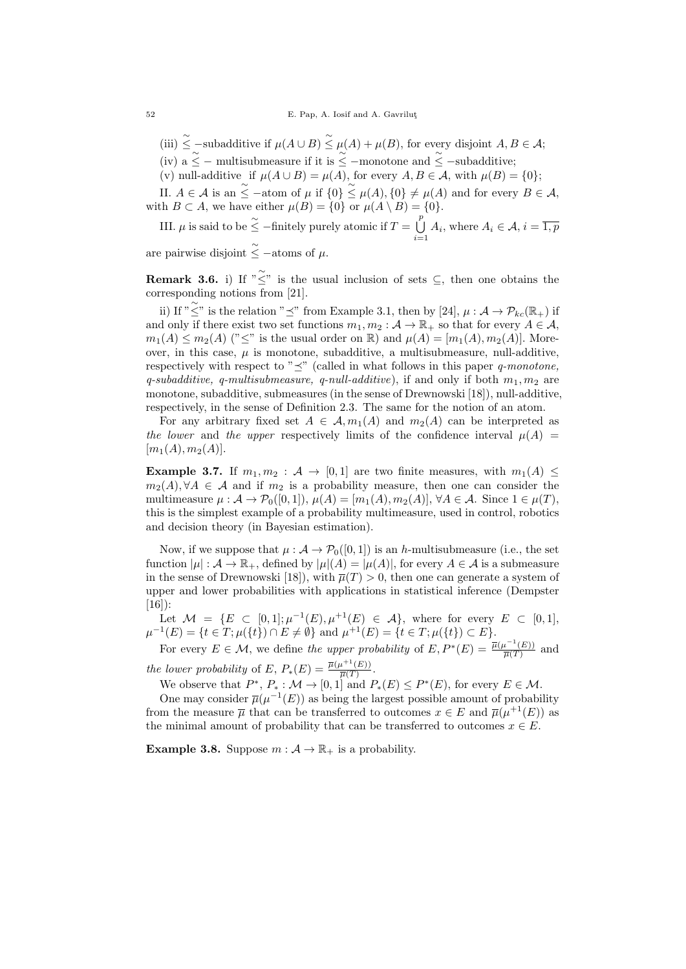(iii)  $\leq$  -subadditive if  $\mu(A \cup B) \leq \mu(A) + \mu(B)$ , for every disjoint  $A, B \in \mathcal{A}$ ;

- (iv) a  $\leq$  multisubmeasure if it is  $\leq$  –monotone and  $\leq$  –subadditive;
- (v) null-additive if  $\mu(A \cup B) = \mu(A)$ , for every  $A, B \in \mathcal{A}$ , with  $\mu(B) = \{0\};$

II.  $A \in \mathcal{A}$  is an  $\leq$  -atom of  $\mu$  if  $\{0\} \leq \mu(A), \{0\} \neq \mu(A)$  and for every  $B \in \mathcal{A}$ , with  $B \subset A$ , we have either  $\mu(B) = \{0\}$  or  $\mu(A \setminus B) = \{0\}.$ 

III.  $\mu$  is said to be  $\leq$  -finitely purely atomic if  $T = \bigcup_{i=1}^{p}$  $\bigcup_{i=1} A_i$ , where  $A_i \in \mathcal{A}, i = \overline{1, p}$ 

are pairwise disjoint  $\tilde{\le}$  -atoms of  $\mu$ .

**Remark 3.6.** i) If  $\sum_{i=1}^{n} x_i^2$  is the usual inclusion of sets  $\subseteq$ , then one obtains the corresponding notions from [21].

ii) If " $\leq$ " is the relation " $\preceq$ " from Example 3.1, then by [24],  $\mu : \mathcal{A} \to \mathcal{P}_{kc}(\mathbb{R}_+)$  if and only if there exist two set functions  $m_1, m_2 : A \to \mathbb{R}_+$  so that for every  $A \in \mathcal{A}$ ,  $m_1(A) \leq m_2(A)$  (" $\leq$ " is the usual order on R) and  $\mu(A) = [m_1(A), m_2(A)]$ . Moreover, in this case,  $\mu$  is monotone, subadditive, a multisubmeasure, null-additive, respectively with respect to " $\preceq$ " (called in what follows in this paper q-monotone, q-subadditive, q-multisubmeasure, q-null-additive), if and only if both  $m_1, m_2$  are monotone, subadditive, submeasures (in the sense of Drewnowski [18]), null-additive, respectively, in the sense of Definition 2.3. The same for the notion of an atom.

For any arbitrary fixed set  $A \in \mathcal{A}$ ,  $m_1(A)$  and  $m_2(A)$  can be interpreted as the lower and the upper respectively limits of the confidence interval  $\mu(A)$  =  $[m_1(A), m_2(A)].$ 

**Example 3.7.** If  $m_1, m_2 : A \rightarrow [0, 1]$  are two finite measures, with  $m_1(A) \leq$  $m_2(A), \forall A \in \mathcal{A}$  and if  $m_2$  is a probability measure, then one can consider the multimeasure  $\mu : \mathcal{A} \to \mathcal{P}_0([0,1]), \mu(A) = [m_1(A), m_2(A)], \forall A \in \mathcal{A}$ . Since  $1 \in \mu(T)$ , this is the simplest example of a probability multimeasure, used in control, robotics and decision theory (in Bayesian estimation).

Now, if we suppose that  $\mu : \mathcal{A} \to \mathcal{P}_0([0,1])$  is an h-multisubmeasure (i.e., the set function  $|\mu| : \mathcal{A} \to \mathbb{R}_+$ , defined by  $|\mu|(A) = |\mu(A)|$ , for every  $A \in \mathcal{A}$  is a submeasure in the sense of Drewnowski [18]), with  $\overline{\mu}(T) > 0$ , then one can generate a system of upper and lower probabilities with applications in statistical inference (Dempster  $[16]$ :

Let  $\mathcal{M} = \{ E \subset [0,1]; \mu^{-1}(E), \mu^{+1}(E) \in \mathcal{A} \}$ , where for every  $E \subset [0,1],$  $\mu^{-1}(E) = \{t \in T; \mu(\{t\}) \cap E \neq \emptyset\}$  and  $\mu^{+1}(E) = \{t \in T; \mu(\{t\}) \subset E\}.$ 

For every  $E \in \mathcal{M}$ , we define the upper probability of  $E, P^*(E) = \frac{\overline{\mu}(\mu^{-1}(E))}{\overline{\mu}(T)}$  $\frac{\mu-(E)}{\overline{\mu}(T)}$  and the lower probability of E,  $P_*(E) = \frac{\overline{\mu}(\mu^{+1}(E))}{\overline{\mu}(T)}$  $rac{u^{\top}(E)}{\overline{\mu}(T)}$ .

We observe that  $P^*, P_* : \mathcal{M} \to [0,1]$  and  $P_*(E) \leq P^*(E)$ , for every  $E \in \mathcal{M}$ .<br>One may consider  $\overline{\mu}(u^{-1}(E))$  as being the largest possible amount of probabi

One may consider  $\overline{\mu}(\mu^{-1}(E))$  as being the largest possible amount of probability from the measure  $\overline{\mu}$  that can be transferred to outcomes  $x \in E$  and  $\overline{\mu}(\mu^{+1}(E))$  as the minimal amount of probability that can be transferred to outcomes  $x \in E$ .

**Example 3.8.** Suppose  $m : A \to \mathbb{R}_+$  is a probability.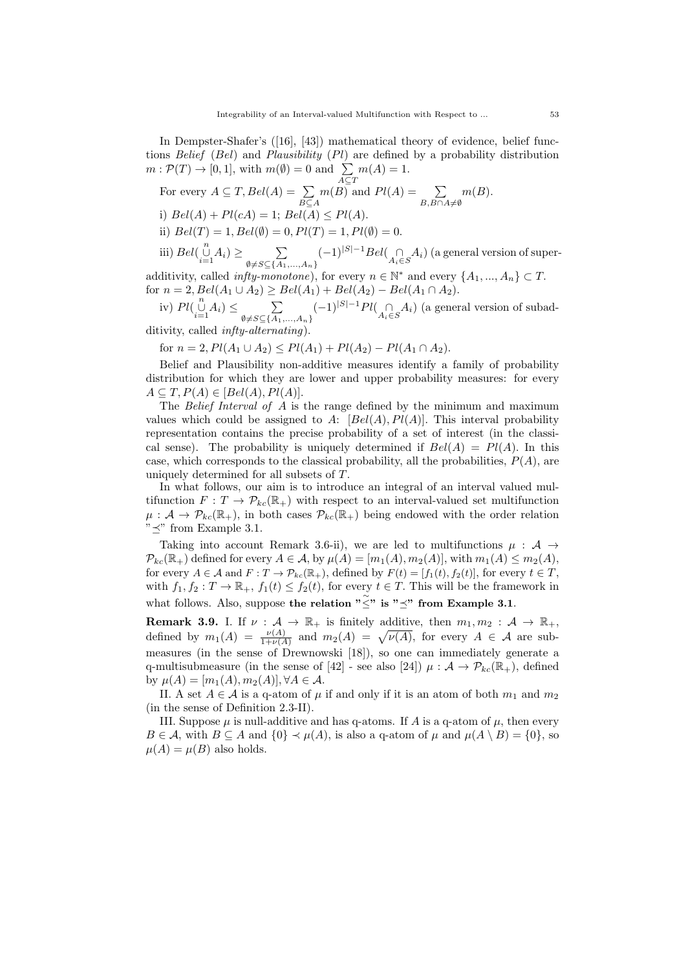In Dempster-Shafer's ([16], [43]) mathematical theory of evidence, belief functions Belief (Bel) and Plausibility (Pl) are defined by a probability distribution  $m: \mathcal{P}(T) \to [0, 1],$  with  $m(\emptyset) = 0$  and  $\sum$  $m(A) = 1.$ 

For every 
$$
A \subseteq T
$$
,  $Bel(A) = \sum_{B \subseteq A} m(B)$  and  $Pl(A) = \sum_{B, B \cap A \neq \emptyset} m(B)$ .  
\ni)  $Bel(A) + Pl(cA) = 1$ ;  $Bel(A) \leq Pl(A)$ .  
\nii)  $Bel(T) = 1$ ,  $Bel(\emptyset) = 0$ ,  $Pl(T) = 1$ ,  $Pl(\emptyset) = 0$ .  
\niii)  $Bel(\bigcup_{i=1}^{n} A_i) \geq \sum_{\emptyset \neq S \subseteq \{A_1, ..., A_n\}} (-1)^{|S|-1} Bel(\bigcap_{A_i \in S} A_i)$  (a general version of super-

additivity, called  $\inf_{\emptyset \neq S \subseteq \{A_1, ..., A_n\}}$  are every  $n \in \mathbb{N}^*$  and every  $\{A_1, ..., A_n\} \subset T$ . for  $n = 2$ ,  $Bel(A_1 \cup A_2) \ge Bel(A_1) + Bel(A_2) - Bel(A_1 \cap A_2)$ .

iv)  $Pl(\bigcup_{i=1}^{n} A_i) \leq \sum_{\emptyset \neq S \subset I} \sum_{A_i}$  $\emptyset \neq S \subseteq \{A_1, \ldots, A_n\}$  $(-1)^{|S|-1}$  $Pl$ ( $\bigcap_{A_i \in S} A_i$ ) (a general version of subad-

ditivity, called infty-alternating).

for  $n = 2$ ,  $Pl(A_1 \cup A_2) \leq Pl(A_1) + Pl(A_2) - Pl(A_1 \cap A_2)$ .

Belief and Plausibility non-additive measures identify a family of probability distribution for which they are lower and upper probability measures: for every  $A \subseteq T, P(A) \in [Bel(A), Pl(A)].$ 

The Belief Interval of A is the range defined by the minimum and maximum values which could be assigned to A:  $[Bel(A), Pl(A)]$ . This interval probability representation contains the precise probability of a set of interest (in the classical sense). The probability is uniquely determined if  $Bel(A) = Pl(A)$ . In this case, which corresponds to the classical probability, all the probabilities,  $P(A)$ , are uniquely determined for all subsets of T.

In what follows, our aim is to introduce an integral of an interval valued multifunction  $F: T \to \mathcal{P}_{kc}(\mathbb{R}_+)$  with respect to an interval-valued set multifunction  $\mu: \mathcal{A} \to \mathcal{P}_{kc}(\mathbb{R}_+),$  in both cases  $\mathcal{P}_{kc}(\mathbb{R}_+)$  being endowed with the order relation  $\ddot{m} \prec$ " from Example 3.1.

Taking into account Remark 3.6-ii), we are led to multifunctions  $\mu : A \rightarrow$  $\mathcal{P}_{kc}(\mathbb{R}_+)$  defined for every  $A \in \mathcal{A}$ , by  $\mu(A) = [m_1(A), m_2(A)]$ , with  $m_1(A) \leq m_2(A)$ , for every  $A \in \mathcal{A}$  and  $F: T \to \mathcal{P}_{kc}(\mathbb{R}_+),$  defined by  $F(t) = [f_1(t), f_2(t)],$  for every  $t \in T$ , with  $f_1, f_2 : T \to \mathbb{R}_+$ ,  $f_1(t) \leq f_2(t)$ , for every  $t \in T$ . This will be the framework in what follows. Also, suppose the relation " $\check{\leq}$ " is " $\preceq$ " from Example 3.1.

**Remark 3.9.** I. If  $\nu : A \to \mathbb{R}_+$  is finitely additive, then  $m_1, m_2 : A \to \mathbb{R}_+$ , defined by  $m_1(A) = \frac{\nu(A)}{1+\nu(A)}$  and  $m_2(A) = \sqrt{\nu(A)}$ , for every  $A \in \mathcal{A}$  are submeasures (in the sense of Drewnowski [18]), so one can immediately generate a q-multisubmeasure (in the sense of [42] - see also [24])  $\mu : A \to \mathcal{P}_{kc}(\mathbb{R}_+),$  defined by  $\mu(A) = [m_1(A), m_2(A)], \forall A \in \mathcal{A}.$ 

II. A set  $A \in \mathcal{A}$  is a q-atom of  $\mu$  if and only if it is an atom of both  $m_1$  and  $m_2$ (in the sense of Definition 2.3-II).

III. Suppose  $\mu$  is null-additive and has q-atoms. If A is a q-atom of  $\mu$ , then every  $B \in \mathcal{A}$ , with  $B \subseteq A$  and  $\{0\} \prec \mu(A)$ , is also a q-atom of  $\mu$  and  $\mu(A \setminus B) = \{0\}$ , so  $\mu(A) = \mu(B)$  also holds.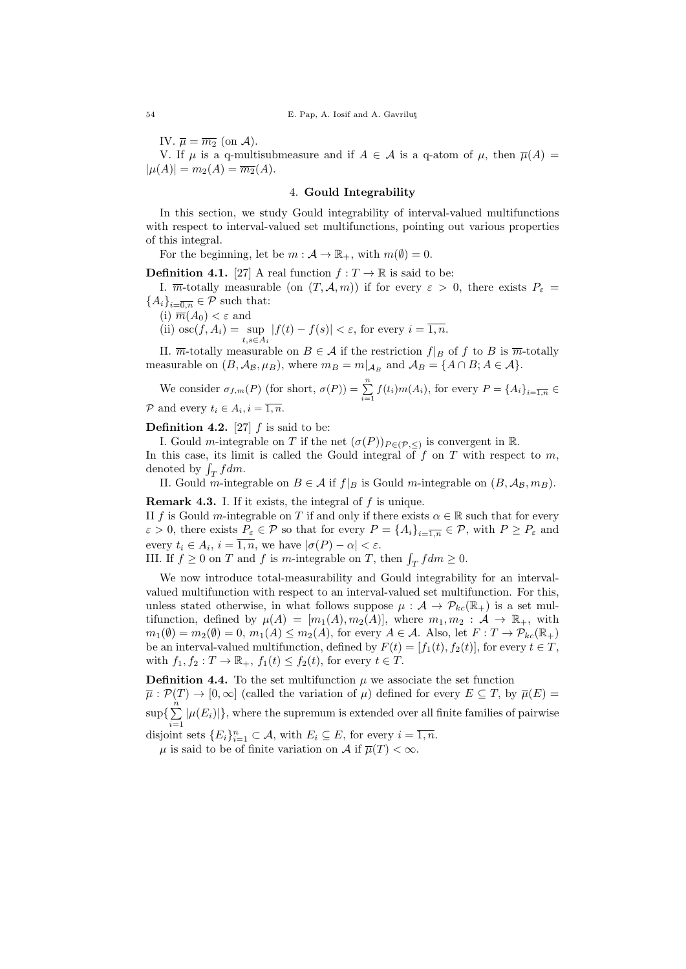IV.  $\overline{\mu} = \overline{m_2}$  (on A).

V. If  $\mu$  is a q-multisubmeasure and if  $A \in \mathcal{A}$  is a q-atom of  $\mu$ , then  $\overline{\mu}(A) =$  $|\mu(A)| = m_2(A) = \overline{m_2}(A).$ 

### 4. Gould Integrability

In this section, we study Gould integrability of interval-valued multifunctions with respect to interval-valued set multifunctions, pointing out various properties of this integral.

For the beginning, let be  $m : A \to \mathbb{R}_+$ , with  $m(\emptyset) = 0$ .

**Definition 4.1.** [27] A real function  $f: T \to \mathbb{R}$  is said to be:

I.  $\overline{m}$ -totally measurable (on  $(T, \mathcal{A}, m)$ ) if for every  $\varepsilon > 0$ , there exists  $P_{\varepsilon} =$  ${A_i}_{i=\overline{0,n}} \in \mathcal{P}$  such that:

(i)  $\overline{m}(A_0) < \varepsilon$  and

(ii)  $\operatorname{osc}(f, A_i) = \sup_{t, s \in A_i}$  $|f(t) - f(s)| < \varepsilon$ , for every  $i = \overline{1, n}$ .

II.  $\overline{m}$ -totally measurable on  $B \in \mathcal{A}$  if the restriction  $f|_B$  of f to B is  $\overline{m}$ -totally measurable on  $(B, \mathcal{A}_{\mathcal{B}}, \mu_B)$ , where  $m_B = m|_{\mathcal{A}_B}$  and  $\mathcal{A}_B = \{A \cap B : A \in \mathcal{A}\}.$ 

We consider 
$$
\sigma_{f,m}(P)
$$
 (for short,  $\sigma(P)$ ) =  $\sum_{i=1}^{n} f(t_i) m(A_i)$ , for every  $P = \{A_i\}_{i=\overline{1,n}} \in$   
2 and every  $t \in A$ ,  $i = \overline{1,n}$ 

P and every  $t_i \in A_i, i = \overline{1, n}.$ 

**Definition 4.2.** [27]  $f$  is said to be:

I. Gould *m*-integrable on T if the net  $(\sigma(P))_{P \in (\mathcal{P}, \leq)}$  is convergent in R.

In this case, its limit is called the Gould integral of  $f$  on  $T$  with respect to  $m$ , denoted by  $\int_T f dm$ .

II. Gould m-integrable on  $B \in \mathcal{A}$  if  $f|_B$  is Gould m-integrable on  $(B, \mathcal{A}_B, m_B)$ .

**Remark 4.3.** I. If it exists, the integral of  $f$  is unique.

II f is Gould m-integrable on T if and only if there exists  $\alpha \in \mathbb{R}$  such that for every  $\varepsilon > 0$ , there exists  $P_{\varepsilon} \in \mathcal{P}$  so that for every  $P = \{A_i\}_{i=\overline{1,n}} \in \mathcal{P}$ , with  $P \ge P_{\varepsilon}$  and every  $t_i \in A_i$ ,  $i = \overline{1, n}$ , we have  $|\sigma(P) - \alpha| < \varepsilon$ .

III. If  $f \geq 0$  on T and f is m-integrable on T, then  $\int_T f dm \geq 0$ .

We now introduce total-measurability and Gould integrability for an intervalvalued multifunction with respect to an interval-valued set multifunction. For this, unless stated otherwise, in what follows suppose  $\mu : A \to \mathcal{P}_{kc}(\mathbb{R}_+)$  is a set multifunction, defined by  $\mu(A) = [m_1(A), m_2(A)]$ , where  $m_1, m_2 : A \to \mathbb{R}_+$ , with  $m_1(\emptyset) = m_2(\emptyset) = 0, m_1(A) \leq m_2(A)$ , for every  $A \in \mathcal{A}$ . Also, let  $F: T \to \mathcal{P}_{kc}(\mathbb{R}_+)$ be an interval-valued multifunction, defined by  $F(t) = [f_1(t), f_2(t)]$ , for every  $t \in T$ , with  $f_1, f_2 : T \to \mathbb{R}_+$ ,  $f_1(t) \leq f_2(t)$ , for every  $t \in T$ .

**Definition 4.4.** To the set multifunction  $\mu$  we associate the set function  $\overline{\mu}: \mathcal{P}(T) \to [0,\infty]$  (called the variation of  $\mu$ ) defined for every  $E \subseteq T$ , by  $\overline{\mu}(E) =$  $\sup\{\sum_{i=1}^{n}$  $\sum_{i=1} |\mu(E_i)|\}$ , where the supremum is extended over all finite families of pairwise disjoint sets  $\{E_i\}_{i=1}^n \subset \mathcal{A}$ , with  $E_i \subseteq E$ , for every  $i = \overline{1,n}$ .

 $\mu$  is said to be of finite variation on A if  $\overline{\mu}(T) < \infty$ .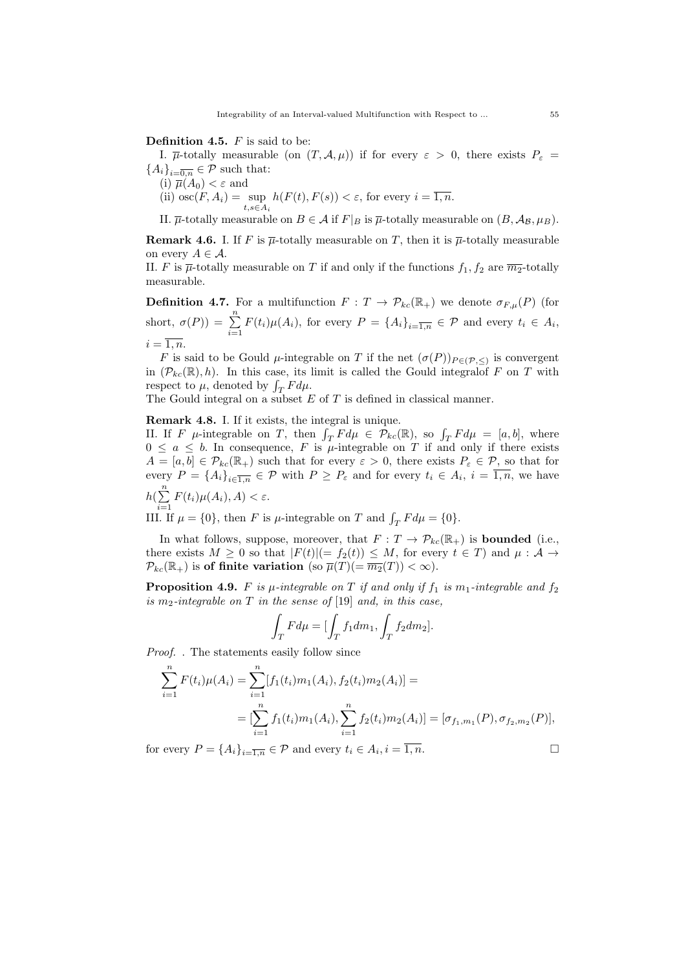**Definition 4.5.**  $F$  is said to be:

I.  $\overline{\mu}$ -totally measurable (on  $(T, \mathcal{A}, \mu)$ ) if for every  $\varepsilon > 0$ , there exists  $P_{\varepsilon} =$  ${A_i}_{i=\overline{0,n}} \in \mathcal{P}$  such that:

(i)  $\overline{\mu}(A_0) < \varepsilon$  and

(ii)  $\operatorname{osc}(F, A_i) = \sup_{t, s \in A_i}$  $h(F(t), F(s)) < \varepsilon$ , for every  $i = \overline{1, n}$ .

II.  $\overline{\mu}$ -totally measurable on  $B \in \mathcal{A}$  if  $F|_B$  is  $\overline{\mu}$ -totally measurable on  $(B, \mathcal{A}_B, \mu_B)$ .

**Remark 4.6.** I. If F is  $\overline{\mu}$ -totally measurable on T, then it is  $\overline{\mu}$ -totally measurable on every  $A \in \mathcal{A}$ .

II. F is  $\overline{\mu}$ -totally measurable on T if and only if the functions  $f_1, f_2$  are  $\overline{m_2}$ -totally measurable.

**Definition 4.7.** For a multifunction  $F: T \to \mathcal{P}_{kc}(\mathbb{R}_+)$  we denote  $\sigma_{F,\mu}(P)$  (for short,  $\sigma(P) = \sum_{n=1}^{\infty}$  $\sum_{i=1} F(t_i) \mu(A_i)$ , for every  $P = \{A_i\}_{i=\overline{1,n}} \in \mathcal{P}$  and every  $t_i \in A_i$ ,  $i = \overline{1, n}.$ 

F is said to be Gould  $\mu$ -integrable on T if the net  $(\sigma(P))_{P \in (\mathcal{P}, \leq)}$  is convergent in  $(\mathcal{P}_{kc}(\mathbb{R}), h)$ . In this case, its limit is called the Gould integral of F on T with respect to  $\mu$ , denoted by  $\int_T F d\mu$ .

The Gould integral on a subset  $E$  of  $T$  is defined in classical manner.

Remark 4.8. I. If it exists, the integral is unique.

II. If F  $\mu$ -integrable on T, then  $\int_T F d\mu \in \mathcal{P}_{kc}(\mathbb{R})$ , so  $\int_T F d\mu = [a, b]$ , where  $0 \le a \le b$ . In consequence, F is  $\mu$ -integrable on T if and only if there exists  $A = [a, b] \in \mathcal{P}_{kc}(\mathbb{R}_+)$  such that for every  $\varepsilon > 0$ , there exists  $P_{\varepsilon} \in \mathcal{P}$ , so that for every  $P = \{A_i\}_{i \in \overline{1,n}} \in \mathcal{P}$  with  $P \geq P_{\varepsilon}$  and for every  $t_i \in A_i$ ,  $i = \overline{1,n}$ , we have  $h(\sum_{ }^{n}$  $\sum_{i=1} F(t_i) \mu(A_i), A) < \varepsilon.$ 

III. If  $\mu = \{0\}$ , then F is  $\mu$ -integrable on T and  $\int_T F d\mu = \{0\}$ .

In what follows, suppose, moreover, that  $F: T \to \mathcal{P}_{kc}(\mathbb{R}_+)$  is **bounded** (i.e., there exists  $M \geq 0$  so that  $|F(t)| (= f_2(t)) \leq M$ , for every  $t \in T$  and  $\mu : A \rightarrow$  $\mathcal{P}_{kc}(\mathbb{R}_+)$  is of finite variation (so  $\overline{\mu}(T)(=\overline{m_2}(T)) < \infty$ ).

**Proposition 4.9.** F is  $\mu$ -integrable on T if and only if  $f_1$  is  $m_1$ -integrable and  $f_2$ is m<sub>2</sub>-integrable on T in the sense of [19] and, in this case,

$$
\int_T F d\mu = \left[ \int_T f_1 dm_1, \int_T f_2 dm_2 \right].
$$

Proof. . The statements easily follow since

$$
\sum_{i=1}^{n} F(t_i) \mu(A_i) = \sum_{i=1}^{n} [f_1(t_i) m_1(A_i), f_2(t_i) m_2(A_i)] =
$$
  
= 
$$
[\sum_{i=1}^{n} f_1(t_i) m_1(A_i), \sum_{i=1}^{n} f_2(t_i) m_2(A_i)] = [\sigma_{f_1, m_1}(P), \sigma_{f_2, m_2}(P)],
$$

for every  $P = \{A_i\}_{i=\overline{1,n}} \in \mathcal{P}$  and every  $t_i \in A_i, i = \overline{1,n}$ .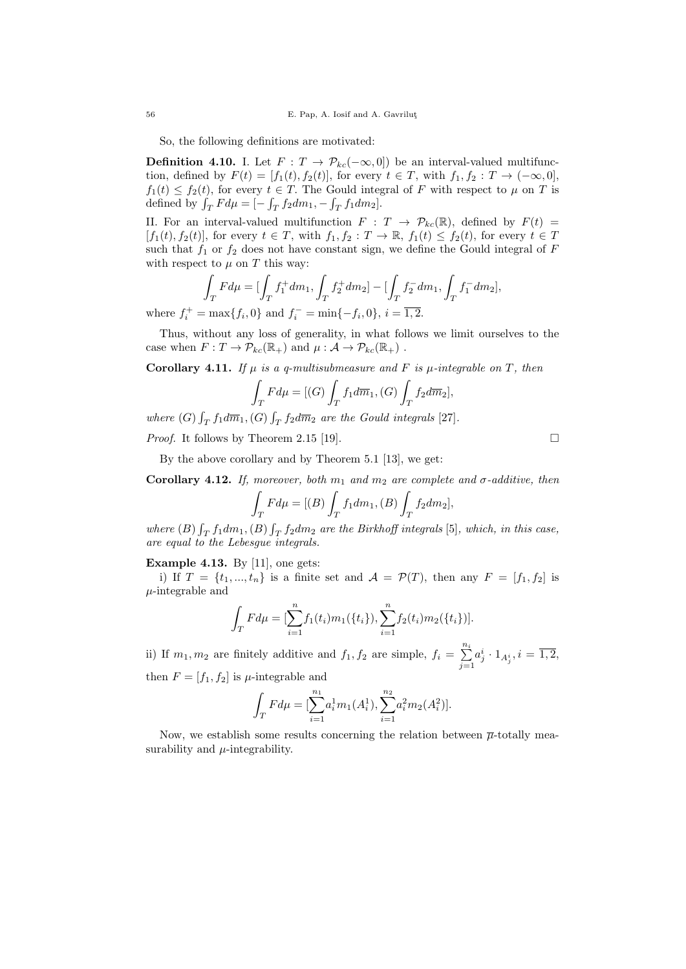So, the following definitions are motivated:

**Definition 4.10.** I. Let  $F: T \to \mathcal{P}_{kc}(-\infty, 0]$  be an interval-valued multifunction, defined by  $F(t) = [f_1(t), f_2(t)]$ , for every  $t \in T$ , with  $f_1, f_2 : T \to (-\infty, 0]$ ,  $f_1(t) \le f_2(t)$ , for every  $t \in T$ . The Gould integral of F with respect to  $\mu$  on T is defined by  $\int_T F d\mu = [-\int_T f_2 dm_1, -\int_T f_1 dm_2].$ 

II. For an interval-valued multifunction  $F : T \to \mathcal{P}_{kc}(\mathbb{R})$ , defined by  $F(t) =$  $[f_1(t), f_2(t)]$ , for every  $t \in T$ , with  $f_1, f_2 : T \to \mathbb{R}$ ,  $f_1(t) \leq f_2(t)$ , for every  $t \in T$ such that  $f_1$  or  $f_2$  does not have constant sign, we define the Gould integral of F with respect to  $\mu$  on  $T$  this way:

$$
\int_T F d\mu = [\int_T f_1^+ dm_1, \int_T f_2^+ dm_2] - [\int_T f_2^- dm_1, \int_T f_1^- dm_2],
$$

where  $f_i^+ = \max\{f_i, 0\}$  and  $f_i^- = \min\{-f_i, 0\}, i = \overline{1, 2}.$ 

Thus, without any loss of generality, in what follows we limit ourselves to the case when  $F: T \to \mathcal{P}_{kc}(\mathbb{R}_+)$  and  $\mu: \mathcal{A} \to \mathcal{P}_{kc}(\mathbb{R}_+)$ .

Corollary 4.11. If  $\mu$  is a q-multisubmeasure and F is  $\mu$ -integrable on T, then

$$
\int_T F d\mu = [(G) \int_T f_1 d\overline{m}_1, (G) \int_T f_2 d\overline{m}_2],
$$

where  $(G) \int_T f_1 d\overline{m}_1$ ,  $(G) \int_T f_2 d\overline{m}_2$  are the Gould integrals [27].

*Proof.* It follows by Theorem 2.15 [19].  $\Box$ 

By the above corollary and by Theorem 5.1 [13], we get:

Corollary 4.12. If, moreover, both  $m_1$  and  $m_2$  are complete and  $\sigma$ -additive, then

$$
\int_T F d\mu = [(B) \int_T f_1 dm_1, (B) \int_T f_2 dm_2],
$$

where  $(B) \int_T f_1 dm_1$ ,  $(B) \int_T f_2 dm_2$  are the Birkhoff integrals [5], which, in this case, are equal to the Lebesgue integrals.

**Example 4.13.** By [11], one gets:

i) If  $T = \{t_1, ..., t_n\}$  is a finite set and  $\mathcal{A} = \mathcal{P}(T)$ , then any  $F = [f_1, f_2]$  is  $\mu$ -integrable and

$$
\int_T F d\mu = \left[\sum_{i=1}^n f_1(t_i) m_1(\{t_i\}), \sum_{i=1}^n f_2(t_i) m_2(\{t_i\})\right].
$$

ii) If  $m_1, m_2$  are finitely additive and  $f_1, f_2$  are simple,  $f_i = \sum_{i=1}^{n_i}$  $j=1$  $a_j^i\cdot 1_{A_j^i}, i=\overline{1,2},$ then  $F = [f_1, f_2]$  is  $\mu$ -integrable and

$$
\int_{T} F d\mu = [\sum_{i=1}^{n_1} a_i^1 m_1(A_i^1), \sum_{i=1}^{n_2} a_i^2 m_2(A_i^2)].
$$

Now, we establish some results concerning the relation between  $\bar{\mu}$ -totally measurability and  $\mu$ -integrability.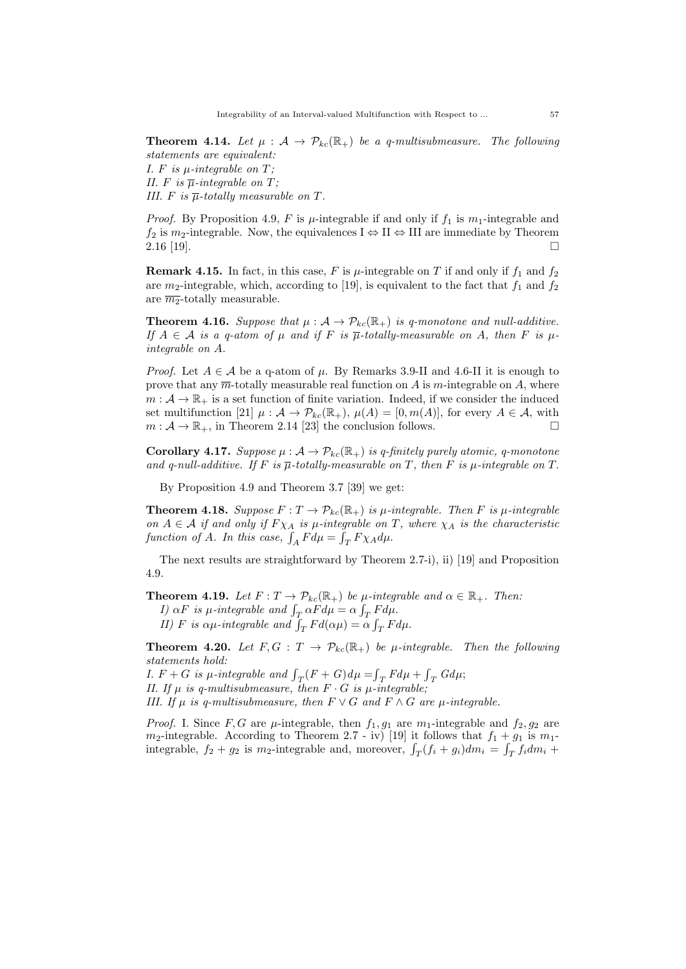**Theorem 4.14.** Let  $\mu : A \rightarrow \mathcal{P}_{kc}(\mathbb{R}_+)$  be a q-multisubmeasure. The following statements are equivalent:

I.  $F$  is  $\mu$ -integrable on  $T$ ; II. F is  $\overline{\mu}$ -integrable on T; III. F is  $\overline{\mu}$ -totally measurable on T.

*Proof.* By Proposition 4.9, F is  $\mu$ -integrable if and only if  $f_1$  is  $m_1$ -integrable and  $f_2$  is  $m_2$ -integrable. Now, the equivalences  $I \Leftrightarrow II \Leftrightarrow III$  are immediate by Theorem  $2.16$  [19].

**Remark 4.15.** In fact, in this case, F is  $\mu$ -integrable on T if and only if  $f_1$  and  $f_2$ are  $m_2$ -integrable, which, according to [19], is equivalent to the fact that  $f_1$  and  $f_2$ are  $\overline{m_2}$ -totally measurable.

**Theorem 4.16.** Suppose that  $\mu : A \to \mathcal{P}_{kc}(\mathbb{R}_+)$  is q-monotone and null-additive. If  $A \in \mathcal{A}$  is a q-atom of  $\mu$  and if F is  $\overline{\mu}$ -totally-measurable on A, then F is  $\mu$ integrable on A.

*Proof.* Let  $A \in \mathcal{A}$  be a q-atom of  $\mu$ . By Remarks 3.9-II and 4.6-II it is enough to prove that any  $\overline{m}$ -totally measurable real function on A is m-integrable on A, where  $m: \mathcal{A} \to \mathbb{R}_+$  is a set function of finite variation. Indeed, if we consider the induced set multifunction [21]  $\mu : \mathcal{A} \to \mathcal{P}_{kc}(\mathbb{R}_+), \mu(A) = [0, m(A)],$  for every  $A \in \mathcal{A}$ , with  $m : \mathcal{A} \to \mathbb{R}_+$ , in Theorem 2.14 [23] the conclusion follows.

**Corollary 4.17.** Suppose  $\mu : A \to \mathcal{P}_{kc}(\mathbb{R}_+)$  is q-finitely purely atomic, q-monotone and q-null-additive. If F is  $\overline{\mu}$ -totally-measurable on T, then F is  $\mu$ -integrable on T.

By Proposition 4.9 and Theorem 3.7 [39] we get:

**Theorem 4.18.** Suppose  $F: T \to \mathcal{P}_{kc}(\mathbb{R}_+)$  is  $\mu$ -integrable. Then F is  $\mu$ -integrable on  $A \in \mathcal{A}$  if and only if  $F \chi_A$  is  $\mu$ -integrable on T, where  $\chi_A$  is the characteristic function of A. In this case,  $\int_A F d\mu = \int_T F \chi_A d\mu$ .

The next results are straightforward by Theorem 2.7-i), ii) [19] and Proposition 4.9.

**Theorem 4.19.** Let  $F: T \to \mathcal{P}_{kc}(\mathbb{R}_+)$  be  $\mu$ -integrable and  $\alpha \in \mathbb{R}_+$ . Then:

*I*)  $\alpha F$  is  $\mu$ -integrable and  $\int_T \alpha F d\mu = \alpha \int_T F d\mu$ .

II) F is  $\alpha\mu$ -integrable and  $\int_T F d(\alpha\mu) = \alpha \int_T F d\mu$ .

**Theorem 4.20.** Let  $F, G: T \to \mathcal{P}_{kc}(\mathbb{R}_+)$  be  $\mu$ -integrable. Then the following statements hold:

*I.*  $F + G$  is  $\mu$ -integrable and  $\int_T (F + G) d\mu = \int_T F d\mu + \int_T G d\mu;$ II. If  $\mu$  is q-multisubmeasure, then  $F \cdot G$  is  $\mu$ -integrable; III. If  $\mu$  is q-multisubmeasure, then  $F \vee G$  and  $F \wedge G$  are  $\mu$ -integrable.

*Proof.* I. Since F, G are  $\mu$ -integrable, then  $f_1, g_1$  are  $m_1$ -integrable and  $f_2, g_2$  are  $m_2$ -integrable. According to Theorem 2.7 - iv) [19] it follows that  $f_1 + g_1$  is  $m_1$ integrable,  $f_2 + g_2$  is  $m_2$ -integrable and, moreover,  $\int_T (f_i + g_i) dm_i = \int_T f_i dm_i +$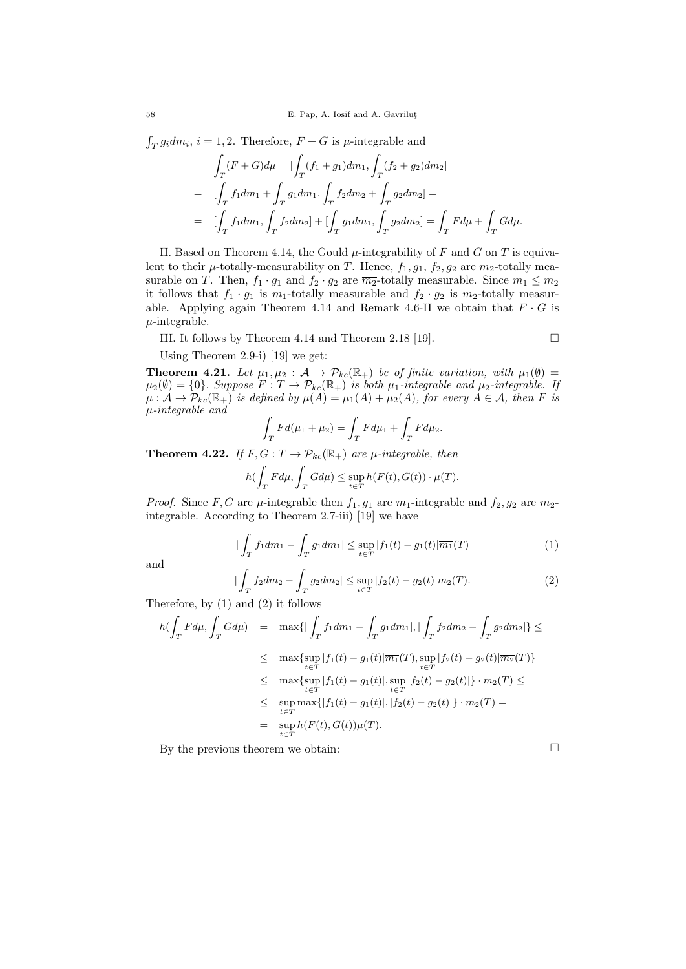$\int_T g_i dm_i$ ,  $i = \overline{1, 2}$ . Therefore,  $F + G$  is  $\mu$ -integrable and

$$
\int_{T} (F+G)d\mu = \left[ \int_{T} (f_1+g_1)dm_1, \int_{T} (f_2+g_2)dm_2 \right] =
$$
\n
$$
= \left[ \int_{T} f_1 dm_1 + \int_{T} g_1 dm_1, \int_{T} f_2 dm_2 + \int_{T} g_2 dm_2 \right] =
$$
\n
$$
= \left[ \int_{T} f_1 dm_1, \int_{T} f_2 dm_2 \right] + \left[ \int_{T} g_1 dm_1, \int_{T} g_2 dm_2 \right] = \int_{T} F d\mu + \int_{T} G d\mu.
$$

II. Based on Theorem 4.14, the Gould  $\mu$ -integrability of F and G on T is equivalent to their  $\overline{\mu}$ -totally-measurability on T. Hence,  $f_1, g_1, f_2, g_2$  are  $\overline{m_2}$ -totally measurable on T. Then,  $f_1 \cdot g_1$  and  $f_2 \cdot g_2$  are  $\overline{m_2}$ -totally measurable. Since  $m_1 \leq m_2$ it follows that  $f_1 \cdot g_1$  is  $\overline{m_1}$ -totally measurable and  $f_2 \cdot g_2$  is  $\overline{m_2}$ -totally measurable. Applying again Theorem 4.14 and Remark 4.6-II we obtain that  $F \cdot G$  is  $\mu$ -integrable.

III. It follows by Theorem 4.14 and Theorem 2.18 [19].

$$
\qquad \qquad \Box
$$

Using Theorem 2.9-i) [19] we get:

**Theorem 4.21.** Let  $\mu_1, \mu_2 : A \to \mathcal{P}_{kc}(\mathbb{R}_+)$  be of finite variation, with  $\mu_1(\emptyset) =$  $\mu_2(\emptyset) = \{0\}$ . Suppose  $F: T \to \mathcal{P}_{kc}(\mathbb{R}_+)$  is both  $\mu_1$ -integrable and  $\mu_2$ -integrable. If  $\mu : \mathcal{A} \to \mathcal{P}_{kc}(\mathbb{R}_+)$  is defined by  $\mu(A) = \mu_1(A) + \mu_2(A)$ , for every  $A \in \mathcal{A}$ , then F is µ-integrable and

$$
\int_T Fd(\mu_1 + \mu_2) = \int_T Fd\mu_1 + \int_T Fd\mu_2.
$$

**Theorem 4.22.** If  $F, G: T \to \mathcal{P}_{kc}(\mathbb{R}_+)$  are  $\mu$ -integrable, then

$$
h(\int_{T} F d\mu, \int_{T} G d\mu) \leq \sup_{t \in T} h(F(t), G(t)) \cdot \overline{\mu}(T).
$$

*Proof.* Since F, G are  $\mu$ -integrable then  $f_1, g_1$  are  $m_1$ -integrable and  $f_2, g_2$  are  $m_2$ integrable. According to Theorem 2.7-iii) [19] we have

$$
|\int_{T} f_1 dm_1 - \int_{T} g_1 dm_1| \leq \sup_{t \in T} |f_1(t) - g_1(t)| \overline{m_1}(T)
$$
 (1)

and

$$
|\int_{T} f_2 dm_2 - \int_{T} g_2 dm_2| \leq \sup_{t \in T} |f_2(t) - g_2(t)| \overline{m_2}(T). \tag{2}
$$

Therefore, by (1) and (2) it follows

$$
h(\int_{T} F d\mu, \int_{T} G d\mu) = \max \{ |\int_{T} f_1 dm_1 - \int_{T} g_1 dm_1|, |\int_{T} f_2 dm_2 - \int_{T} g_2 dm_2| \} \le
$$
  

$$
\leq \max \{ \sup_{t \in T} |f_1(t) - g_1(t)| \overline{m_1}(T), \sup_{t \in T} |f_2(t) - g_2(t)| \overline{m_2}(T) \}
$$
  

$$
\leq \max \{ \sup_{t \in T} |f_1(t) - g_1(t)|, \sup_{t \in T} |f_2(t) - g_2(t)| \} \cdot \overline{m_2}(T) \le
$$
  

$$
\leq \sup_{t \in T} \max \{ |f_1(t) - g_1(t)|, |f_2(t) - g_2(t)| \} \cdot \overline{m_2}(T) =
$$
  

$$
= \sup_{t \in T} h(F(t), G(t)) \overline{\mu}(T).
$$

By the previous theorem we obtain:  $\Box$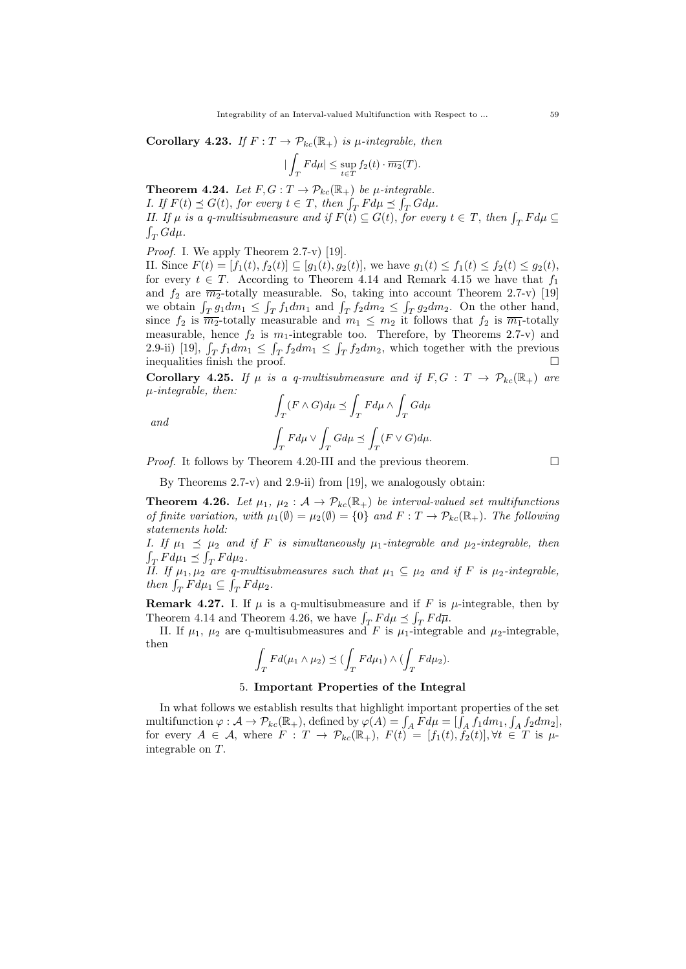Corollary 4.23. If  $F: T \to \mathcal{P}_{kc}(\mathbb{R}_+)$  is  $\mu$ -integrable, then

$$
|\int_T F d\mu| \leq \sup_{t \in T} f_2(t) \cdot \overline{m_2}(T).
$$

**Theorem 4.24.** Let  $F, G: T \to \mathcal{P}_{kc}(\mathbb{R}_+)$  be  $\mu$ -integrable. I. If  $F(t) \preceq G(t)$ , for every  $t \in T$ , then  $\int_T F d\mu \preceq \int_T G d\mu$ . II. If  $\mu$  is a q-multisubmeasure and if  $F(t) \subseteq G(t)$ , for every  $t \in T$ , then  $\int_T F d\mu \subseteq$  $\int_T G d\mu.$ 

Proof. I. We apply Theorem 2.7-v) [19].

II. Since  $F(t) = [f_1(t), f_2(t)] \subseteq [g_1(t), g_2(t)]$ , we have  $g_1(t) \le f_1(t) \le f_2(t) \le g_2(t)$ , for every  $t \in T$ . According to Theorem 4.14 and Remark 4.15 we have that  $f_1$ and  $f_2$  are  $\overline{m_2}$ -totally measurable. So, taking into account Theorem 2.7-v) [19] we obtain  $\int_T g_1 dm_1 \leq \int_T f_1 dm_1$  and  $\int_T f_2 dm_2 \leq \int_T g_2 dm_2$ . On the other hand, since  $f_2$  is  $\overline{m_2}$ -totally measurable and  $m_1 \leq m_2$  it follows that  $f_2$  is  $\overline{m_1}$ -totally measurable, hence  $f_2$  is  $m_1$ -integrable too. Therefore, by Theorems 2.7-v) and 2.9-ii) [19],  $\int_T f_1 dm_1 \leq \int_T f_2 dm_1 \leq \int_T f_2 dm_2$ , which together with the previous inequalities finish the proof.  $\hfill \square$ 

Corollary 4.25. If  $\mu$  is a q-multisubmeasure and if  $F, G : T \to \mathcal{P}_{kc}(\mathbb{R}_+)$  are  $\mu$ -integrable, then:

$$
\qquad and \qquad
$$

$$
\begin{aligned} & \int_T (F\wedge G) d\mu \preceq \int_T F d\mu \wedge \int_T G d\mu \\ & \int_T F d\mu \vee \int_T G d\mu \preceq \int_T (F\vee G) d\mu. \end{aligned}
$$

*Proof.* It follows by Theorem 4.20-III and the previous theorem.  $\Box$ 

By Theorems 2.7-v) and 2.9-ii) from [19], we analogously obtain:

**Theorem 4.26.** Let  $\mu_1, \mu_2 : A \to \mathcal{P}_{kc}(\mathbb{R}_+)$  be interval-valued set multifunctions of finite variation, with  $\mu_1(\emptyset) = \mu_2(\emptyset) = \{0\}$  and  $F: T \to \mathcal{P}_{kc}(\mathbb{R}_+)$ . The following statements hold:

I. If  $\mu_1 \preceq \mu_2$  and if F is simultaneously  $\mu_1$ -integrable and  $\mu_2$ -integrable, then  $\int_T F d\mu_1 \preceq \int_T F d\mu_2.$ 

II. If  $\mu_1, \mu_2$  are q-multisubmeasures such that  $\mu_1 \subseteq \mu_2$  and if F is  $\mu_2$ -integrable, then  $\int_T F d\mu_1 \subseteq \int_T F d\mu_2$ .

**Remark 4.27.** I. If  $\mu$  is a q-multisubmeasure and if F is  $\mu$ -integrable, then by Theorem 4.14 and Theorem 4.26, we have  $\int_T F d\mu \preceq \int_T F d\overline{\mu}$ .

II. If  $\mu_1$ ,  $\mu_2$  are q-multisubmeasures and F is  $\mu_1$ -integrable and  $\mu_2$ -integrable, then

$$
\int_T Fd(\mu_1 \wedge \mu_2) \preceq (\int_T Fd\mu_1) \wedge (\int_T Fd\mu_2).
$$

### 5. Important Properties of the Integral

In what follows we establish results that highlight important properties of the set multifunction  $\varphi: \mathcal{A} \to \mathcal{P}_{kc}(\mathbb{R}_+),$  defined by  $\varphi(A) = \int_A F d\mu = [\int_A f_1 dm_1, \int_A f_2 dm_2],$ for every  $A \in \mathcal{A}$ , where  $F : T \to \mathcal{P}_{kc}(\mathbb{R}_+), F(t) = [f_1(t), f_2(t)], \forall t \in T$  is  $\mu$ integrable on T.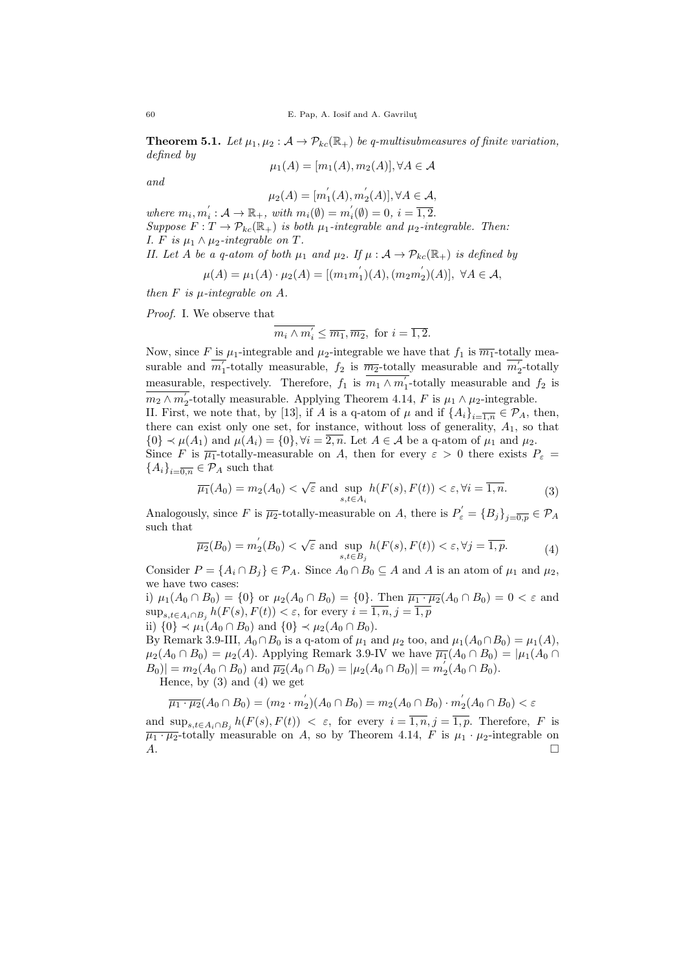**Theorem 5.1.** Let  $\mu_1, \mu_2 : A \to \mathcal{P}_{kc}(\mathbb{R}_+)$  be q-multisubmeasures of finite variation, defined by

$$
\mu_1(A) = [m_1(A), m_2(A)], \forall A \in \mathcal{A}
$$

and

$$
\mu_2(A) = [m_1^{'}(A), m_2^{'}(A)], \forall A \in \mathcal{A},
$$

where  $m_i, m_i': A \to \mathbb{R}_+$ , with  $m_i(\emptyset) = m_i'(\emptyset) = 0$ ,  $i = \overline{1, 2}$ . Suppose  $F: T \to \mathcal{P}_{kc}(\mathbb{R}_+)$  is both  $\mu_1$ -integrable and  $\mu_2$ -integrable. Then: I. F is  $\mu_1 \wedge \mu_2$ -integrable on T. II. Let A be a q-atom of both  $\mu_1$  and  $\mu_2$ . If  $\mu : A \to \mathcal{P}_{kc}(\mathbb{R}_+)$  is defined by

$$
\mu(A) = \mu_1(A) \cdot \mu_2(A) = [(m_1m_1')(A), (m_2m_2')(A)], \ \forall A \in \mathcal{A},
$$

then  $F$  is  $\mu$ -integrable on  $A$ .

Proof. I. We observe that

$$
\overline{m_i \wedge m'_i} \leq \overline{m_1}, \overline{m_2}, \text{ for } i = \overline{1, 2}.
$$

Now, since F is  $\mu_1$ -integrable and  $\mu_2$ -integrable we have that  $f_1$  is  $\overline{m_1}$ -totally measurable and  $\overline{m'_1}$ -totally measurable,  $f_2$  is  $\overline{m_2}$ -totally measurable and  $\overline{m'_2}$ -totally measurable, respectively. Therefore,  $f_1$  is  $\overline{m_1 \wedge m_1'}$ -totally measurable and  $f_2$  is  $m_2 \wedge m_2'$ -totally measurable. Applying Theorem 4.14, F is  $\mu_1 \wedge \mu_2$ -integrable. II. First, we note that, by [13], if A is a q-atom of  $\mu$  and if  $\{A_i\}_{i=\overline{1,n}} \in \mathcal{P}_A$ , then, there can exist only one set, for instance, without loss of generality,  $A_1$ , so that  $\{0\} \prec \mu(A_1)$  and  $\mu(A_i) = \{0\}, \forall i = \overline{2, n}$ . Let  $A \in \mathcal{A}$  be a q-atom of  $\mu_1$  and  $\mu_2$ . Since F is  $\overline{\mu_1}$ -totally-measurable on A, then for every  $\varepsilon > 0$  there exists  $P_{\varepsilon} =$  ${A_i}_{i=\overline{0,n}} \in \mathcal{P}_A$  such that

$$
\overline{\mu_1}(A_0) = m_2(A_0) < \sqrt{\varepsilon} \text{ and } \sup_{s,t \in A_i} h(F(s), F(t)) < \varepsilon, \forall i = \overline{1, n}. \tag{3}
$$

Analogously, since F is  $\overline{\mu_2}$ -totally-measurable on A, there is  $P'_\varepsilon = \{B_j\}_{j=\overline{0,p}} \in \mathcal{P}_A$ such that

$$
\overline{\mu_2}(B_0) = m_2^{'}(B_0) < \sqrt{\varepsilon} \text{ and } \sup_{s,t \in B_j} h(F(s), F(t)) < \varepsilon, \forall j = \overline{1, p}. \tag{4}
$$

Consider  $P = \{A_i \cap B_j\} \in \mathcal{P}_A$ . Since  $A_0 \cap B_0 \subseteq A$  and A is an atom of  $\mu_1$  and  $\mu_2$ , we have two cases:

i)  $\mu_1(A_0 \cap B_0) = \{0\}$  or  $\mu_2(A_0 \cap B_0) = \{0\}$ . Then  $\overline{\mu_1 \cdot \mu_2}(A_0 \cap B_0) = 0 < \varepsilon$  and  $\sup_{s,t\in A_i\cap B_j} h(F(s),F(t)) < \varepsilon$ , for every  $i=\overline{1,n}, j=\overline{1,p}$ ii)  $\{0\}$  ≺  $\mu_1(A_0 \cap B_0)$  and  $\{0\}$  ≺  $\mu_2(A_0 \cap B_0)$ .

By Remark 3.9-III,  $A_0 \cap B_0$  is a q-atom of  $\mu_1$  and  $\mu_2$  too, and  $\mu_1(A_0 \cap B_0) = \mu_1(A)$ ,  $\mu_2(A_0 \cap B_0) = \mu_2(A)$ . Applying Remark 3.9-IV we have  $\overline{\mu_1}(A_0 \cap B_0) = |\mu_1(A_0 \cap B_0)|$  $|B_0| = m_2(A_0 \cap B_0)$  and  $\overline{\mu_2}(A_0 \cap B_0) = |\mu_2(A_0 \cap B_0)| = m_2'(A_0 \cap B_0).$ 

Hence, by (3) and (4) we get

$$
\overline{\mu_1 \cdot \mu_2}(A_0 \cap B_0) = (m_2 \cdot m_2')(A_0 \cap B_0) = m_2(A_0 \cap B_0) \cdot m_2'(A_0 \cap B_0) < \varepsilon
$$

and  $\sup_{s,t\in A_i\cap B_j} h(F(s),F(t)) < \varepsilon$ , for every  $i=\overline{1,n},j=\overline{1,p}$ . Therefore, F is  $\overline{\mu_1 \cdot \mu_2}$ -totally measurable on A, so by Theorem 4.14, F is  $\mu_1 \cdot \mu_2$ -integrable on  $A.$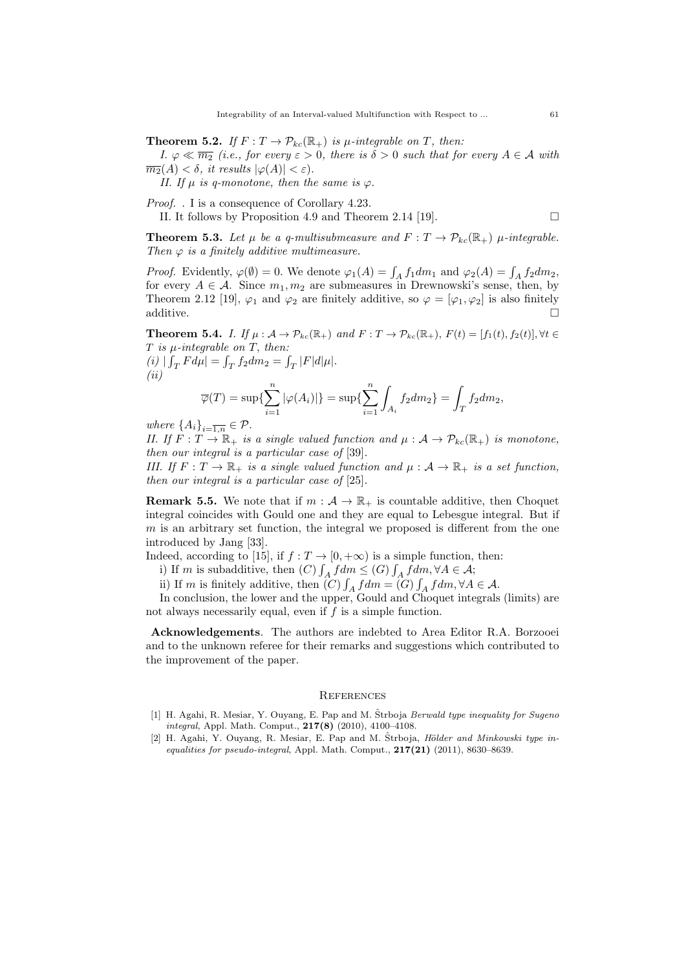**Theorem 5.2.** If  $F: T \to \mathcal{P}_{kc}(\mathbb{R}_+)$  is  $\mu$ -integrable on T, then:

II. It follows by Proposition 4.9 and Theorem 2.14 [19].

I.  $\varphi \ll \overline{m_2}$  (i.e., for every  $\varepsilon > 0$ , there is  $\delta > 0$  such that for every  $A \in \mathcal{A}$  with  $\overline{m_2}(A) < \delta$ , it results  $|\varphi(A)| < \varepsilon$ ).

II. If  $\mu$  is q-monotone, then the same is  $\varphi$ .

Proof. . I is a consequence of Corollary 4.23.

$$
\qquad \qquad \Box
$$

**Theorem 5.3.** Let  $\mu$  be a q-multisubmeasure and  $F: T \to \mathcal{P}_{kc}(\mathbb{R}_+)$   $\mu$ -integrable. Then  $\varphi$  is a finitely additive multimeasure.

*Proof.* Evidently,  $\varphi(\emptyset) = 0$ . We denote  $\varphi_1(A) = \int_A f_1 dm_1$  and  $\varphi_2(A) = \int_A f_2 dm_2$ , for every  $A \in \mathcal{A}$ . Since  $m_1, m_2$  are submeasures in Drewnowski's sense, then, by Theorem 2.12 [19],  $\varphi_1$  and  $\varphi_2$  are finitely additive, so  $\varphi = [\varphi_1, \varphi_2]$  is also finitely  $additive.$ 

**Theorem 5.4.** I. If  $\mu : A \to \mathcal{P}_{kc}(\mathbb{R}_+)$  and  $F : T \to \mathcal{P}_{kc}(\mathbb{R}_+), F(t) = [f_1(t), f_2(t)], \forall t \in$  $T$  is  $\mu$ -integrable on  $T$ , then:

(i)  $|\int_T F d\mu| = \int_T f_2 dm_2 = \int_T |F| d|\mu|.$  $(ii)$  $\overline{n}$ 

$$
\overline{\varphi}(T) = \sup \{ \sum_{i=1}^{n} |\varphi(A_i)| \} = \sup \{ \sum_{i=1}^{n} \int_{A_i} f_2 dm_2 \} = \int_{T} f_2 dm_2,
$$

where  $\{A_i\}_{i=\overline{1,n}} \in \mathcal{P}$ .

II. If  $F: T \to \mathbb{R}_+$  is a single valued function and  $\mu: \mathcal{A} \to \mathcal{P}_{kc}(\mathbb{R}_+)$  is monotone, then our integral is a particular case of [39].

III. If  $F: T \to \mathbb{R}_+$  is a single valued function and  $\mu: \mathcal{A} \to \mathbb{R}_+$  is a set function, then our integral is a particular case of [25].

**Remark 5.5.** We note that if  $m : A \to \mathbb{R}_+$  is countable additive, then Choquet integral coincides with Gould one and they are equal to Lebesgue integral. But if  $m$  is an arbitrary set function, the integral we proposed is different from the one introduced by Jang [33].

Indeed, according to [15], if  $f : T \to [0, +\infty)$  is a simple function, then:

i) If m is subadditive, then  $(C) \int_A f dm \leq (G) \int_A f dm, \forall A \in \mathcal{A}$ ;

ii) If m is finitely additive, then  $(C) \int_A f dm = (G) \int_A f dm, \forall A \in \mathcal{A}$ .

In conclusion, the lower and the upper, Gould and Choquet integrals (limits) are not always necessarily equal, even if  $f$  is a simple function.

Acknowledgements. The authors are indebted to Area Editor R.A. Borzooei and to the unknown referee for their remarks and suggestions which contributed to the improvement of the paper.

#### **REFERENCES**

- [1] H. Agahi, R. Mesiar, Y. Ouyang, E. Pap and M. Strboja Berwald type inequality for Sugeno integral, Appl. Math. Comput., 217(8) (2010), 4100–4108.
- [2] H. Agahi, Y. Ouyang, R. Mesiar, E. Pap and M. Strboja, *Hölder and Minkowski type in*equalities for pseudo-integral, Appl. Math. Comput.,  $217(21)$  (2011), 8630–8639.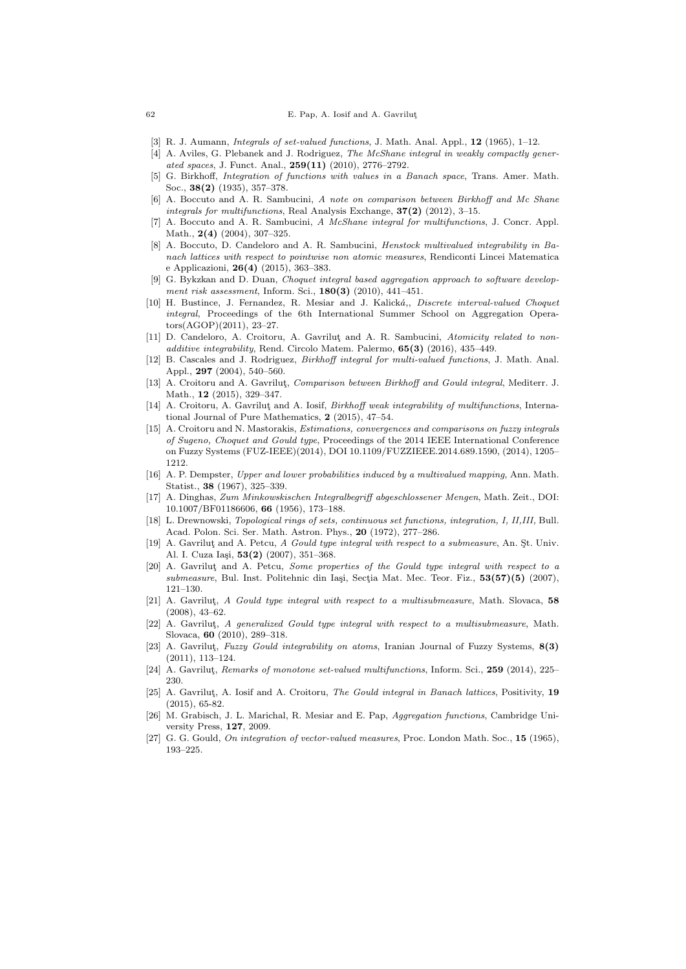#### 62 E. Pap, A. Iosif and A. Gavrilut

- [3] R. J. Aumann, *Integrals of set-valued functions*, J. Math. Anal. Appl., **12** (1965), 1–12.
- [4] A. Aviles, G. Plebanek and J. Rodriguez, The McShane integral in weakly compactly generated spaces, J. Funct. Anal., 259(11) (2010), 2776–2792.
- [5] G. Birkhoff, Integration of functions with values in a Banach space, Trans. Amer. Math. Soc., 38(2) (1935), 357–378.
- A. Boccuto and A. R. Sambucini, A note on comparison between Birkhoff and Mc Shane integrals for multifunctions, Real Analysis Exchange, 37(2) (2012), 3–15.
- [7] A. Boccuto and A. R. Sambucini, A McShane integral for multifunctions, J. Concr. Appl. Math., 2(4) (2004), 307–325.
- [8] A. Boccuto, D. Candeloro and A. R. Sambucini, Henstock multivalued integrability in Banach lattices with respect to pointwise non atomic measures, Rendiconti Lincei Matematica e Applicazioni, 26(4) (2015), 363–383.
- [9] G. Bykzkan and D. Duan, Choquet integral based aggregation approach to software development risk assessment, Inform. Sci., 180(3) (2010), 441–451.
- [10] H. Bustince, J. Fernandez, R. Mesiar and J. Kalická,, Discrete interval-valued Choquet integral, Proceedings of the 6th International Summer School on Aggregation Operators(AGOP)(2011), 23–27.
- [11] D. Candeloro, A. Croitoru, A. Gavrilut and A. R. Sambucini, Atomicity related to nonadditive integrability, Rend. Circolo Matem. Palermo, 65(3) (2016), 435–449.
- [12] B. Cascales and J. Rodriguez, Birkhoff integral for multi-valued functions, J. Math. Anal. Appl., 297 (2004), 540–560.
- [13] A. Croitoru and A. Gavrilut, Comparison between Birkhoff and Gould integral, Mediterr. J. Math., 12 (2015), 329–347.
- [14] A. Croitoru, A. Gavrilut and A. Iosif, *Birkhoff weak integrability of multifunctions*, International Journal of Pure Mathematics, 2 (2015), 47–54.
- [15] A. Croitoru and N. Mastorakis, Estimations, convergences and comparisons on fuzzy integrals of Sugeno, Choquet and Gould type, Proceedings of the 2014 IEEE International Conference on Fuzzy Systems (FUZ-IEEE)(2014), DOI 10.1109/FUZZIEEE.2014.689.1590, (2014), 1205– 1212.
- [16] A. P. Dempster, Upper and lower probabilities induced by a multivalued mapping, Ann. Math. Statist., 38 (1967), 325–339.
- [17] A. Dinghas, Zum Minkowskischen Integralbegriff abgeschlossener Mengen, Math. Zeit., DOI: 10.1007/BF01186606, 66 (1956), 173–188.
- [18] L. Drewnowski, Topological rings of sets, continuous set functions, integration, I, II,III, Bull. Acad. Polon. Sci. Ser. Math. Astron. Phys., 20 (1972), 277–286.
- [19] A. Gavrilut and A. Petcu, A Gould type integral with respect to a submeasure, An. St. Univ. Al. I. Cuza Iași, 53(2) (2007), 351-368.
- [20] A. Gavrilut and A. Petcu, Some properties of the Gould type integral with respect to a submeasure, Bul. Inst. Politehnic din Iași, Secția Mat. Mec. Teor. Fiz.,  $53(57)(5)$  (2007), 121–130.
- [21] A. Gavrilut, A Gould type integral with respect to a multisubmeasure, Math. Slovaca,  $58$ (2008), 43–62.
- [22] A. Gavrilut, A generalized Gould type integral with respect to a multisubmeasure, Math. Slovaca, 60 (2010), 289–318.
- [23] A. Gavrilut, Fuzzy Gould integrability on atoms, Iranian Journal of Fuzzy Systems, 8(3) (2011), 113–124.
- [24] A. Gavrilut, Remarks of monotone set-valued multifunctions, Inform. Sci., 259 (2014), 225– 230.
- [25] A. Gavrilut, A. Iosif and A. Croitoru, The Gould integral in Banach lattices, Positivity, 19 (2015), 65-82.
- [26] M. Grabisch, J. L. Marichal, R. Mesiar and E. Pap, Aggregation functions, Cambridge University Press, 127, 2009.
- [27] G. G. Gould, On integration of vector-valued measures, Proc. London Math. Soc., 15 (1965), 193–225.